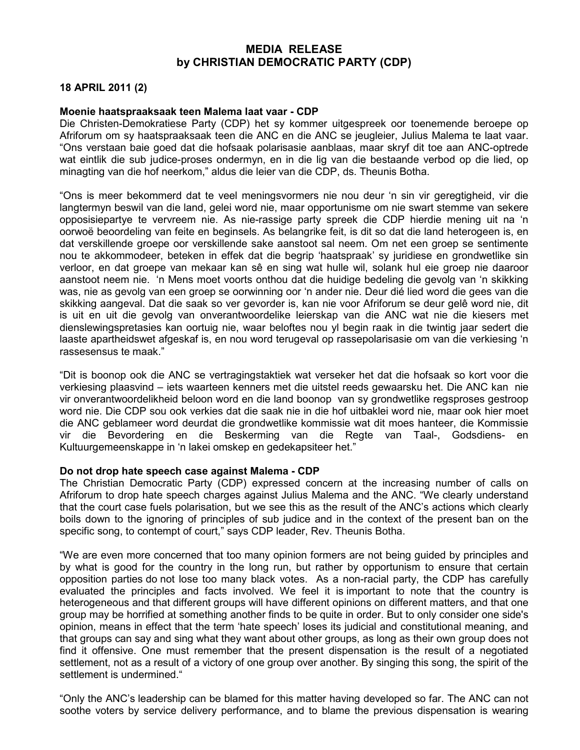## MEDIA RELEASE by CHRISTIAN DEMOCRATIC PARTY (CDP)

## 18 APRIL 2011 (2)

## Moenie haatspraaksaak teen Malema laat vaar - CDP

Die Christen-Demokratiese Party (CDP) het sy kommer uitgespreek oor toenemende beroepe op Afriforum om sy haatspraaksaak teen die ANC en die ANC se jeugleier, Julius Malema te laat vaar. "Ons verstaan baie goed dat die hofsaak polarisasie aanblaas, maar skryf dit toe aan ANC-optrede wat eintlik die sub judice-proses ondermyn, en in die lig van die bestaande verbod op die lied, op minagting van die hof neerkom," aldus die leier van die CDP, ds. Theunis Botha.

"Ons is meer bekommerd dat te veel meningsvormers nie nou deur 'n sin vir geregtigheid, vir die langtermyn beswil van die land, gelei word nie, maar opportunisme om nie swart stemme van sekere opposisiepartye te vervreem nie. As nie-rassige party spreek die CDP hierdie mening uit na 'n oorwoë beoordeling van feite en beginsels. As belangrike feit, is dit so dat die land heterogeen is, en dat verskillende groepe oor verskillende sake aanstoot sal neem. Om net een groep se sentimente nou te akkommodeer, beteken in effek dat die begrip 'haatspraak' sy juridiese en grondwetlike sin verloor, en dat groepe van mekaar kan sê en sing wat hulle wil, solank hul eie groep nie daaroor aanstoot neem nie. 'n Mens moet voorts onthou dat die huidige bedeling die gevolg van 'n skikking was, nie as gevolg van een groep se oorwinning oor 'n ander nie. Deur dié lied word die gees van die skikking aangeval. Dat die saak so ver gevorder is, kan nie voor Afriforum se deur gelê word nie, dit is uit en uit die gevolg van onverantwoordelike leierskap van die ANC wat nie die kiesers met dienslewingspretasies kan oortuig nie, waar beloftes nou yl begin raak in die twintig jaar sedert die laaste apartheidswet afgeskaf is, en nou word terugeval op rassepolarisasie om van die verkiesing 'n rassesensus te maak."

"Dit is boonop ook die ANC se vertragingstaktiek wat verseker het dat die hofsaak so kort voor die verkiesing plaasvind – iets waarteen kenners met die uitstel reeds gewaarsku het. Die ANC kan nie vir onverantwoordelikheid beloon word en die land boonop van sy grondwetlike regsproses gestroop word nie. Die CDP sou ook verkies dat die saak nie in die hof uitbaklei word nie, maar ook hier moet die ANC geblameer word deurdat die grondwetlike kommissie wat dit moes hanteer, die Kommissie vir die Bevordering en die Beskerming van die Regte van Taal-, Godsdiens- en Kultuurgemeenskappe in 'n lakei omskep en gedekapsiteer het."

## Do not drop hate speech case against Malema - CDP

The Christian Democratic Party (CDP) expressed concern at the increasing number of calls on Afriforum to drop hate speech charges against Julius Malema and the ANC. "We clearly understand that the court case fuels polarisation, but we see this as the result of the ANC's actions which clearly boils down to the ignoring of principles of sub judice and in the context of the present ban on the specific song, to contempt of court," says CDP leader, Rev. Theunis Botha.

"We are even more concerned that too many opinion formers are not being guided by principles and by what is good for the country in the long run, but rather by opportunism to ensure that certain opposition parties do not lose too many black votes. As a non-racial party, the CDP has carefully evaluated the principles and facts involved. We feel it is important to note that the country is heterogeneous and that different groups will have different opinions on different matters, and that one group may be horrified at something another finds to be quite in order. But to only consider one side's opinion, means in effect that the term 'hate speech' loses its judicial and constitutional meaning, and that groups can say and sing what they want about other groups, as long as their own group does not find it offensive. One must remember that the present dispensation is the result of a negotiated settlement, not as a result of a victory of one group over another. By singing this song, the spirit of the settlement is undermined."

"Only the ANC's leadership can be blamed for this matter having developed so far. The ANC can not soothe voters by service delivery performance, and to blame the previous dispensation is wearing